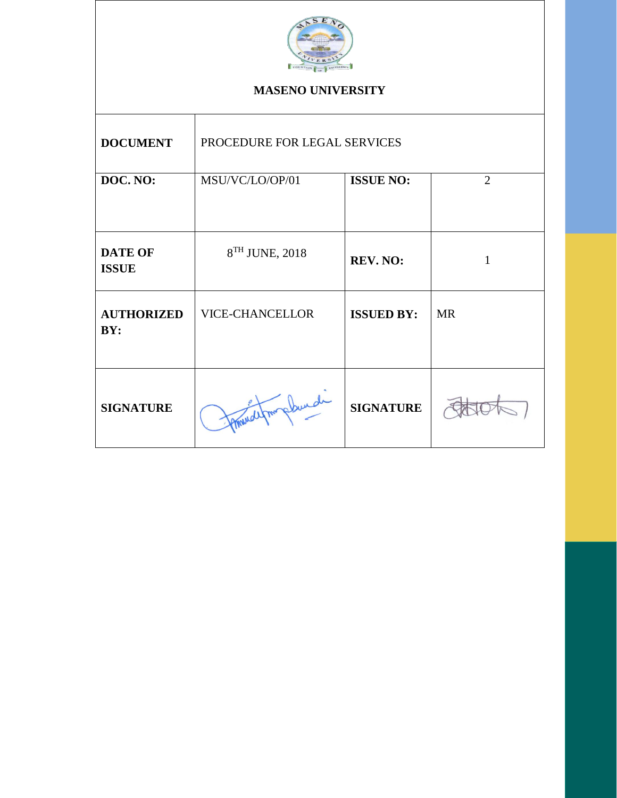

### **MASENO UNIVERSITY**

| <b>DOCUMENT</b>                | PROCEDURE FOR LEGAL SERVICES |                   |                |
|--------------------------------|------------------------------|-------------------|----------------|
| DOC. NO:                       | MSU/VC/LO/OP/01              | <b>ISSUE NO:</b>  | $\overline{2}$ |
| <b>DATE OF</b><br><b>ISSUE</b> | 8 <sup>TH</sup> JUNE, 2018   | REV. NO:          | 1              |
| <b>AUTHORIZED</b><br>BY:       | <b>VICE-CHANCELLOR</b>       | <b>ISSUED BY:</b> | <b>MR</b>      |
| <b>SIGNATURE</b>               | afour plandi                 | <b>SIGNATURE</b>  |                |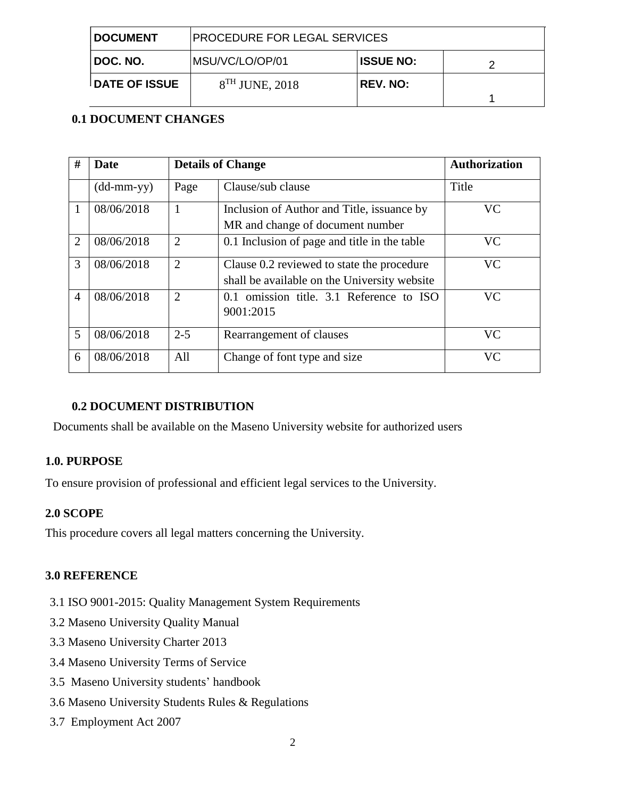| <b>I DOCUMENT</b>    | <b>PROCEDURE FOR LEGAL SERVICES</b> |                  |  |
|----------------------|-------------------------------------|------------------|--|
| I DOC. NO.           | MSU/VC/LO/OP/01                     | <b>ISSUE NO:</b> |  |
| <b>DATE OF ISSUE</b> | $8TH$ JUNE, 2018                    | <b>REV. NO:</b>  |  |

## **0.1 DOCUMENT CHANGES**

| #              | Date                       | <b>Details of Change</b>    |                                                                                            | <b>Authorization</b> |
|----------------|----------------------------|-----------------------------|--------------------------------------------------------------------------------------------|----------------------|
|                | $(dd\text{-}mm\text{-}yy)$ | Page                        | Clause/sub clause                                                                          | Title                |
| 1              | 08/06/2018                 | 1                           | Inclusion of Author and Title, issuance by<br>MR and change of document number             | VC                   |
| $\overline{2}$ | 08/06/2018                 | $\overline{2}$              | 0.1 Inclusion of page and title in the table                                               | <b>VC</b>            |
| 3              | 08/06/2018                 | $\overline{2}$              | Clause 0.2 reviewed to state the procedure<br>shall be available on the University website | <b>VC</b>            |
| $\overline{4}$ | 08/06/2018                 | $\mathcal{D}_{\mathcal{L}}$ | 0.1 omission title. 3.1 Reference to ISO<br>9001:2015                                      | <b>VC</b>            |
| 5              | 08/06/2018                 | $2 - 5$                     | Rearrangement of clauses                                                                   | VC.                  |
| 6              | 08/06/2018                 | All                         | Change of font type and size                                                               | <b>VC</b>            |

## **0.2 DOCUMENT DISTRIBUTION**

Documents shall be available on the Maseno University website for authorized users

#### **1.0. PURPOSE**

To ensure provision of professional and efficient legal services to the University.

#### **2.0 SCOPE**

This procedure covers all legal matters concerning the University.

#### **3.0 REFERENCE**

- 3.1 ISO 9001-2015: Quality Management System Requirements
- 3.2 Maseno University Quality Manual
- 3.3 Maseno University Charter 2013
- 3.4 Maseno University Terms of Service
- 3.5 Maseno University students' handbook
- 3.6 Maseno University Students Rules & Regulations
- 3.7 Employment Act 2007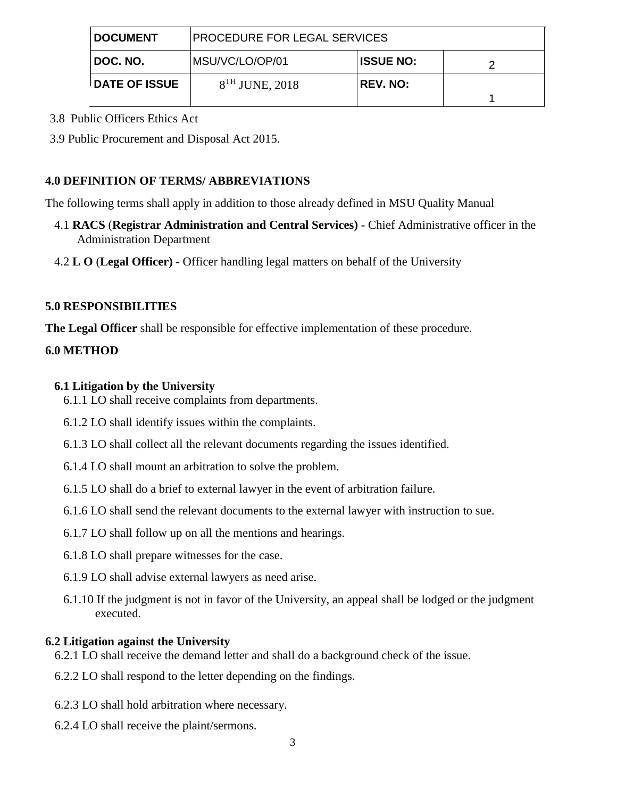| <b>I DOCUMENT</b>     | <b>PROCEDURE FOR LEGAL SERVICES</b> |                  |  |
|-----------------------|-------------------------------------|------------------|--|
| I DOC. NO.            | IMSU/VC/LO/OP/01                    | <b>ISSUE NO:</b> |  |
| <b>IDATE OF ISSUE</b> | $8TH$ JUNE, 2018                    | <b>REV. NO:</b>  |  |

3.8 Public Officers Ethics Act

3.9 Public Procurement and Disposal Act 2015.

## **4.0 DEFINITION OF TERMS/ ABBREVIATIONS**

The following terms shall apply in addition to those already defined in MSU Quality Manual

- 4.1 **RACS** (**Registrar Administration and Central Services) -** Chief Administrative officer in the Administration Department
- 4.2 **L O** (**Legal Officer)**  Officer handling legal matters on behalf of the University

### **5.0 RESPONSIBILITIES**

**The Legal Officer** shall be responsible for effective implementation of these procedure.

### **6.0 METHOD**

### **6.1 Litigation by the University**

- 6.1.1 LO shall receive complaints from departments.
- 6.1.2 LO shall identify issues within the complaints.
- 6.1.3 LO shall collect all the relevant documents regarding the issues identified.
- 6.1.4 LO shall mount an arbitration to solve the problem.
- 6.1.5 LO shall do a brief to external lawyer in the event of arbitration failure.
- 6.1.6 LO shall send the relevant documents to the external lawyer with instruction to sue.
- 6.1.7 LO shall follow up on all the mentions and hearings.
- 6.1.8 LO shall prepare witnesses for the case.
- 6.1.9 LO shall advise external lawyers as need arise.
- 6.1.10 If the judgment is not in favor of the University, an appeal shall be lodged or the judgment executed.

# **6.2 Litigation against the University**

- 6.2.1 LO shall receive the demand letter and shall do a background check of the issue.
- 6.2.2 LO shall respond to the letter depending on the findings.
- 6.2.3 LO shall hold arbitration where necessary.
- 6.2.4 LO shall receive the plaint/sermons.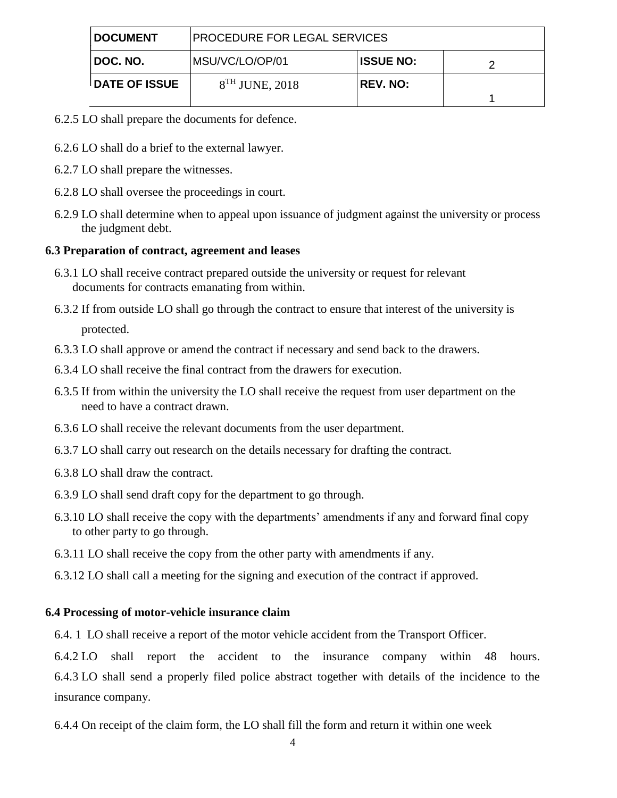| <b>DOCUMENT</b>      | PROCEDURE FOR LEGAL SERVICES |                  |  |
|----------------------|------------------------------|------------------|--|
| I DOC. NO.           | MSU/VC/LO/OP/01              | <b>ISSUE NO:</b> |  |
| <b>DATE OF ISSUE</b> | $8TH$ JUNE, 2018             | <b>REV. NO:</b>  |  |

- 6.2.5 LO shall prepare the documents for defence.
- 6.2.6 LO shall do a brief to the external lawyer.
- 6.2.7 LO shall prepare the witnesses.
- 6.2.8 LO shall oversee the proceedings in court.
- 6.2.9 LO shall determine when to appeal upon issuance of judgment against the university or process the judgment debt.

#### **6.3 Preparation of contract, agreement and leases**

- 6.3.1 LO shall receive contract prepared outside the university or request for relevant documents for contracts emanating from within.
- 6.3.2 If from outside LO shall go through the contract to ensure that interest of the university is protected.
- 6.3.3 LO shall approve or amend the contract if necessary and send back to the drawers.
- 6.3.4 LO shall receive the final contract from the drawers for execution.
- 6.3.5 If from within the university the LO shall receive the request from user department on the need to have a contract drawn.
- 6.3.6 LO shall receive the relevant documents from the user department.
- 6.3.7 LO shall carry out research on the details necessary for drafting the contract.
- 6.3.8 LO shall draw the contract.
- 6.3.9 LO shall send draft copy for the department to go through.
- 6.3.10 LO shall receive the copy with the departments' amendments if any and forward final copy to other party to go through.
- 6.3.11 LO shall receive the copy from the other party with amendments if any.
- 6.3.12 LO shall call a meeting for the signing and execution of the contract if approved.

#### **6.4 Processing of motor-vehicle insurance claim**

6.4. 1 LO shall receive a report of the motor vehicle accident from the Transport Officer.

6.4.2 LO shall report the accident to the insurance company within 48 hours. 6.4.3 LO shall send a properly filed police abstract together with details of the incidence to the insurance company.

6.4.4 On receipt of the claim form, the LO shall fill the form and return it within one week